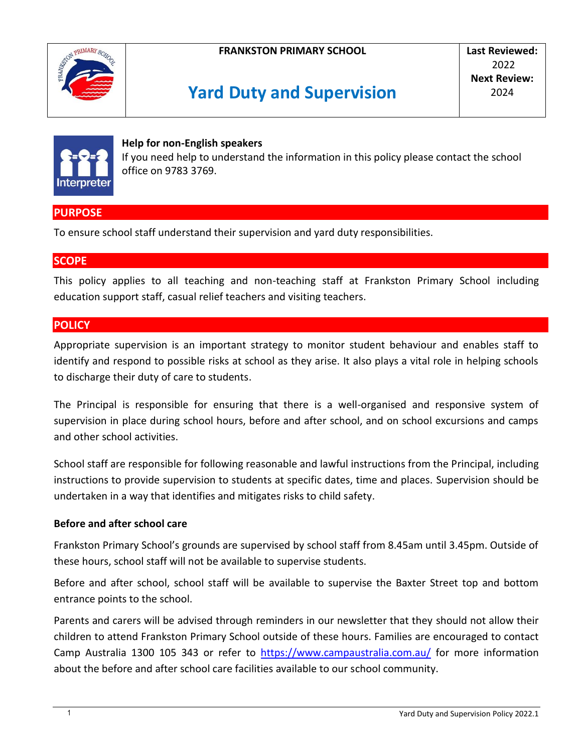





#### **Help for non-English speakers**

If you need help to understand the information in this policy please contact the school office on 9783 3769.

# **PURPOSE**

To ensure school staff understand their supervision and yard duty responsibilities.

## **SCOPE**

This policy applies to all teaching and non-teaching staff at Frankston Primary School including education support staff, casual relief teachers and visiting teachers.

### **POLICY**

Appropriate supervision is an important strategy to monitor student behaviour and enables staff to identify and respond to possible risks at school as they arise. It also plays a vital role in helping schools to discharge their duty of care to students.

The Principal is responsible for ensuring that there is a well-organised and responsive system of supervision in place during school hours, before and after school, and on school excursions and camps and other school activities.

School staff are responsible for following reasonable and lawful instructions from the Principal, including instructions to provide supervision to students at specific dates, time and places. Supervision should be undertaken in a way that identifies and mitigates risks to child safety.

### **Before and after school care**

Frankston Primary School's grounds are supervised by school staff from 8.45am until 3.45pm. Outside of these hours, school staff will not be available to supervise students.

Before and after school, school staff will be available to supervise the Baxter Street top and bottom entrance points to the school.

Parents and carers will be advised through reminders in our newsletter that they should not allow their children to attend Frankston Primary School outside of these hours. Families are encouraged to contact Camp Australia 1300 105 343 or refer to <https://www.campaustralia.com.au/> for more information about the before and after school care facilities available to our school community.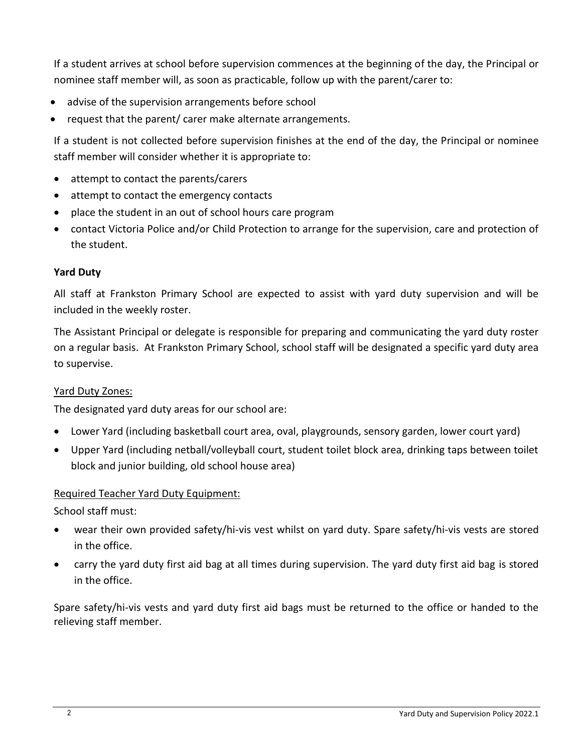If a student arrives at school before supervision commences at the beginning of the day, the Principal or nominee staff member will, as soon as practicable, follow up with the parent/carer to:

- advise of the supervision arrangements before school
- request that the parent/ carer make alternate arrangements.

If a student is not collected before supervision finishes at the end of the day, the Principal or nominee staff member will consider whether it is appropriate to:

- attempt to contact the parents/carers
- attempt to contact the emergency contacts
- place the student in an out of school hours care program
- contact Victoria Police and/or Child Protection to arrange for the supervision, care and protection of the student.

## **Yard Duty**

All staff at Frankston Primary School are expected to assist with yard duty supervision and will be included in the weekly roster.

The Assistant Principal or delegate is responsible for preparing and communicating the yard duty roster on a regular basis. At Frankston Primary School, school staff will be designated a specific yard duty area to supervise.

## Yard Duty Zones:

The designated yard duty areas for our school are:

- Lower Yard (including basketball court area, oval, playgrounds, sensory garden, lower court yard)
- Upper Yard (including netball/volleyball court, student toilet block area, drinking taps between toilet block and junior building, old school house area)

## Required Teacher Yard Duty Equipment:

School staff must:

- wear their own provided safety/hi-vis vest whilst on yard duty. Spare safety/hi-vis vests are stored in the office.
- carry the yard duty first aid bag at all times during supervision. The yard duty first aid bag is stored in the office.

Spare safety/hi-vis vests and yard duty first aid bags must be returned to the office or handed to the relieving staff member.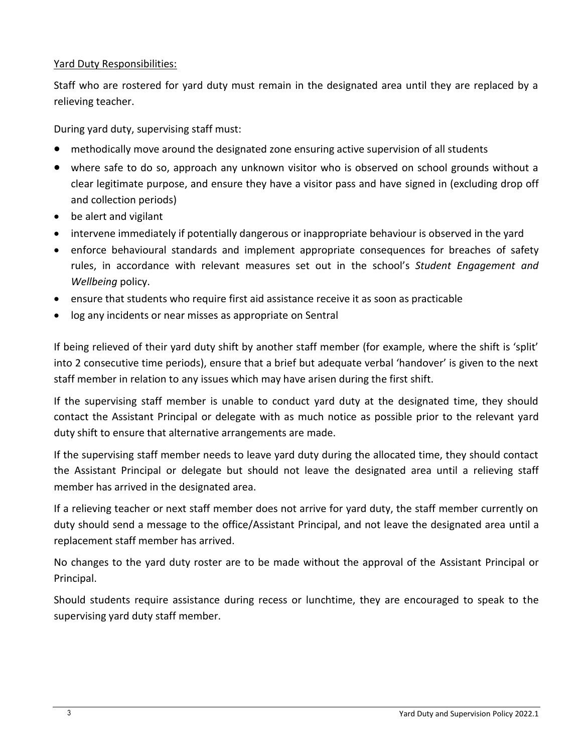#### Yard Duty Responsibilities:

Staff who are rostered for yard duty must remain in the designated area until they are replaced by a relieving teacher.

During yard duty, supervising staff must:

- methodically move around the designated zone ensuring active supervision of all students
- where safe to do so, approach any unknown visitor who is observed on school grounds without a clear legitimate purpose, and ensure they have a visitor pass and have signed in (excluding drop off and collection periods)
- be alert and vigilant
- intervene immediately if potentially dangerous or inappropriate behaviour is observed in the yard
- enforce behavioural standards and implement appropriate consequences for breaches of safety rules, in accordance with relevant measures set out in the school's *Student Engagement and Wellbeing* policy.
- ensure that students who require first aid assistance receive it as soon as practicable
- log any incidents or near misses as appropriate on Sentral

If being relieved of their yard duty shift by another staff member (for example, where the shift is 'split' into 2 consecutive time periods), ensure that a brief but adequate verbal 'handover' is given to the next staff member in relation to any issues which may have arisen during the first shift.

If the supervising staff member is unable to conduct yard duty at the designated time, they should contact the Assistant Principal or delegate with as much notice as possible prior to the relevant yard duty shift to ensure that alternative arrangements are made.

If the supervising staff member needs to leave yard duty during the allocated time, they should contact the Assistant Principal or delegate but should not leave the designated area until a relieving staff member has arrived in the designated area.

If a relieving teacher or next staff member does not arrive for yard duty, the staff member currently on duty should send a message to the office/Assistant Principal, and not leave the designated area until a replacement staff member has arrived.

No changes to the yard duty roster are to be made without the approval of the Assistant Principal or Principal.

Should students require assistance during recess or lunchtime, they are encouraged to speak to the supervising yard duty staff member.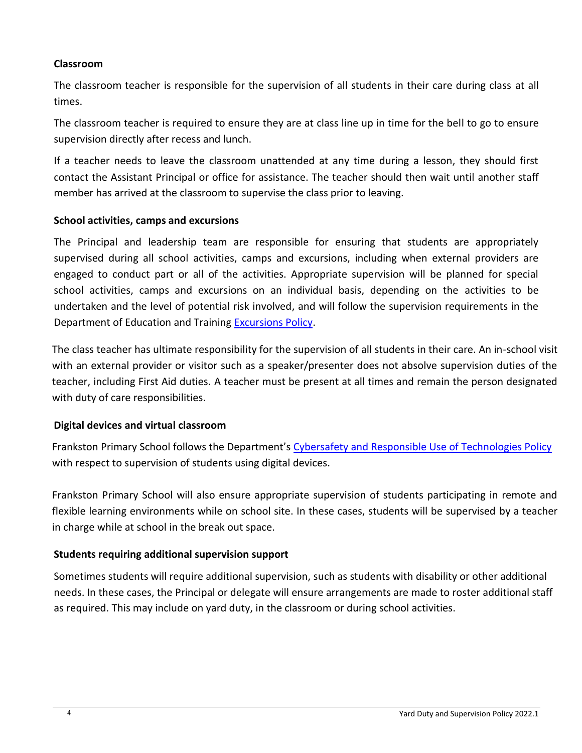### **Classroom**

The classroom teacher is responsible for the supervision of all students in their care during class at all times.

The classroom teacher is required to ensure they are at class line up in time for the bell to go to ensure supervision directly after recess and lunch.

If a teacher needs to leave the classroom unattended at any time during a lesson, they should first contact the Assistant Principal or office for assistance. The teacher should then wait until another staff member has arrived at the classroom to supervise the class prior to leaving.

### **School activities, camps and excursions**

The Principal and leadership team are responsible for ensuring that students are appropriately supervised during all school activities, camps and excursions, including when external providers are engaged to conduct part or all of the activities. Appropriate supervision will be planned for special school activities, camps and excursions on an individual basis, depending on the activities to be undertaken and the level of potential risk involved, and will follow the supervision requirements in the Department of Education and Training [Excursions Policy.](https://www2.education.vic.gov.au/pal/excursions/policy)

The class teacher has ultimate responsibility for the supervision of all students in their care. An in-school visit with an external provider or visitor such as a speaker/presenter does not absolve supervision duties of the teacher, including First Aid duties. A teacher must be present at all times and remain the person designated with duty of care responsibilities.

## **Digital devices and virtual classroom**

Frankston Primary School follows the Department's [Cybersafety and Responsible Use of Technologies Policy](https://www2.education.vic.gov.au/pal/cybersafety/policy) with respect to supervision of students using digital devices.

Frankston Primary School will also ensure appropriate supervision of students participating in remote and flexible learning environments while on school site. In these cases, students will be supervised by a teacher in charge while at school in the break out space.

## **Students requiring additional supervision support**

Sometimes students will require additional supervision, such as students with disability or other additional needs. In these cases, the Principal or delegate will ensure arrangements are made to roster additional staff as required. This may include on yard duty, in the classroom or during school activities.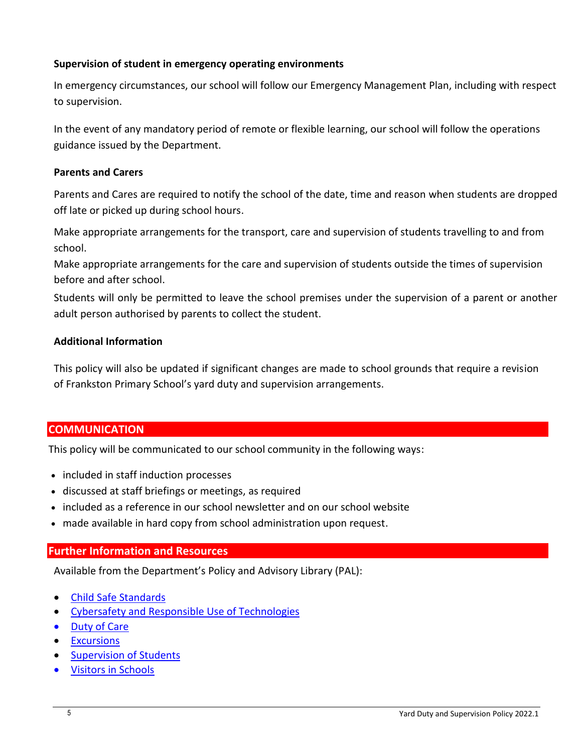### **Supervision of student in emergency operating environments**

In emergency circumstances, our school will follow our Emergency Management Plan, including with respect to supervision.

In the event of any mandatory period of remote or flexible learning, our school will follow the operations guidance issued by the Department.

### **Parents and Carers**

Parents and Cares are required to notify the school of the date, time and reason when students are dropped off late or picked up during school hours.

Make appropriate arrangements for the transport, care and supervision of students travelling to and from school.

Make appropriate arrangements for the care and supervision of students outside the times of supervision before and after school.

Students will only be permitted to leave the school premises under the supervision of a parent or another adult person authorised by parents to collect the student.

### **Additional Information**

This policy will also be updated if significant changes are made to school grounds that require a revision of Frankston Primary School's yard duty and supervision arrangements.

## **COMMUNICATION**

This policy will be communicated to our school community in the following ways:

- included in staff induction processes
- discussed at staff briefings or meetings, as required
- included as a reference in our school newsletter and on our school website
- made available in hard copy from school administration upon request.

## **Further Information and Resources**

Available from the Department's Policy and Advisory Library (PAL):

- [Child Safe Standards](https://www2.education.vic.gov.au/pal/child-safe-standards/policy)
- [Cybersafety and Responsible Use of Technologies](https://www2.education.vic.gov.au/pal/cybersafety/policy)
- [Duty of Care](https://www2.education.vic.gov.au/pal/duty-of-care/policy)
- **•** [Excursions](https://www2.education.vic.gov.au/pal/excursions/policy)
- **[Supervision of Students](https://www2.education.vic.gov.au/pal/supervision-students/policy)**
- [Visitors in Schools](https://www2.education.vic.gov.au/pal/visitors/policy)